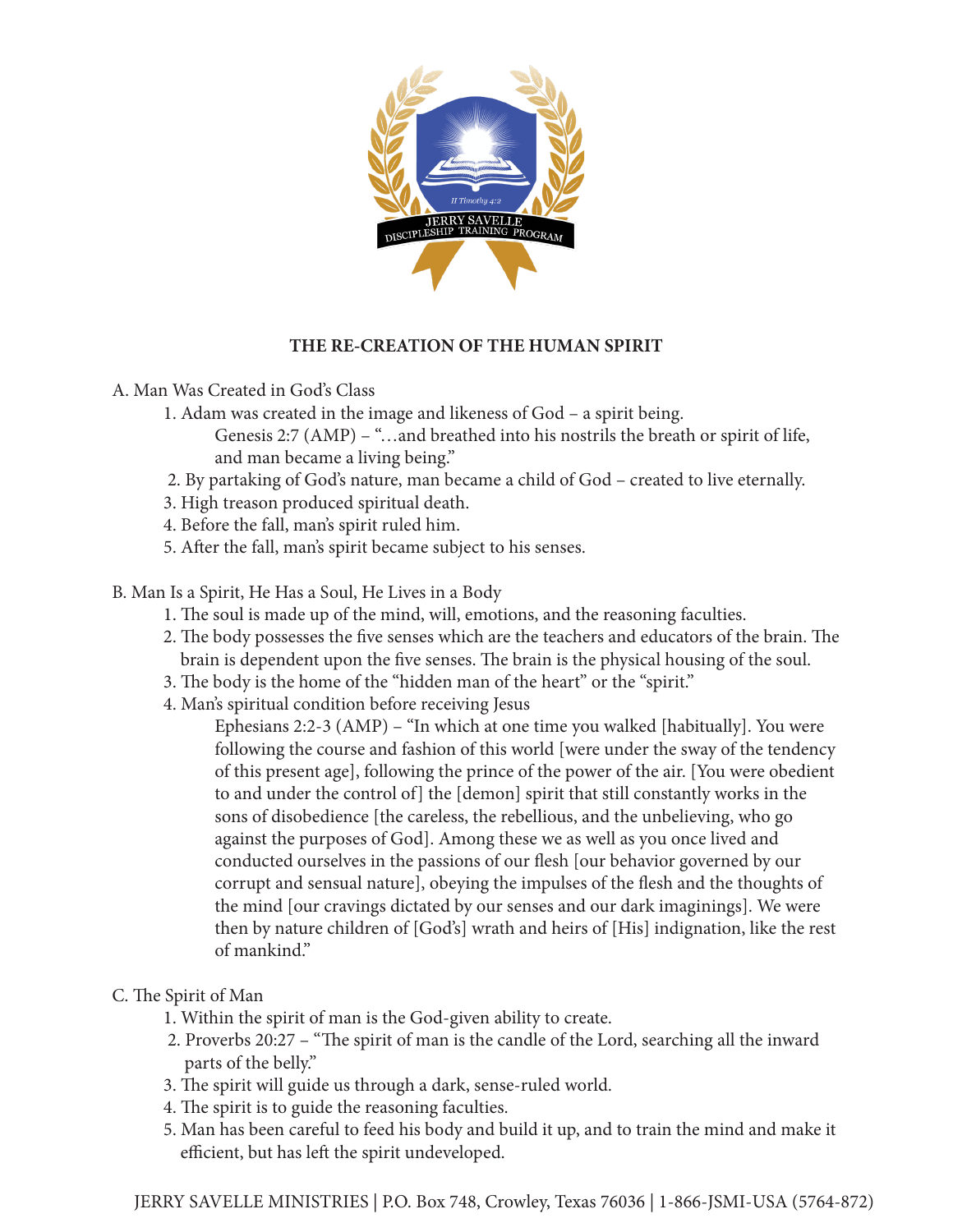

## **THE RE-CREATION OF THE HUMAN SPIRIT**

A. Man Was Created in God's Class

- 1. Adam was created in the image and likeness of God a spirit being.
	- Genesis 2:7 (AMP) "…and breathed into his nostrils the breath or spirit of life, and man became a living being."
- 2. By partaking of God's nature, man became a child of God created to live eternally.
- 3. High treason produced spiritual death.
- 4. Before the fall, man's spirit ruled him.
- 5. After the fall, man's spirit became subject to his senses.
- B. Man Is a Spirit, He Has a Soul, He Lives in a Body
	- 1. The soul is made up of the mind, will, emotions, and the reasoning faculties.
	- 2. The body possesses the five senses which are the teachers and educators of the brain. The brain is dependent upon the five senses. The brain is the physical housing of the soul.
	- 3. The body is the home of the "hidden man of the heart" or the "spirit."
	- 4. Man's spiritual condition before receiving Jesus
		- Ephesians 2:2-3 (AMP) "In which at one time you walked [habitually]. You were following the course and fashion of this world [were under the sway of the tendency of this present age], following the prince of the power of the air. [You were obedient to and under the control of] the [demon] spirit that still constantly works in the sons of disobedience [the careless, the rebellious, and the unbelieving, who go against the purposes of God]. Among these we as well as you once lived and conducted ourselves in the passions of our flesh [our behavior governed by our corrupt and sensual nature], obeying the impulses of the flesh and the thoughts of the mind [our cravings dictated by our senses and our dark imaginings]. We were then by nature children of [God's] wrath and heirs of [His] indignation, like the rest of mankind."
- C. The Spirit of Man
	- 1. Within the spirit of man is the God-given ability to create.
	- 2. Proverbs 20:27 "The spirit of man is the candle of the Lord, searching all the inward parts of the belly."
	- 3. The spirit will guide us through a dark, sense-ruled world.
	- 4. The spirit is to guide the reasoning faculties.
	- 5. Man has been careful to feed his body and build it up, and to train the mind and make it efficient, but has left the spirit undeveloped.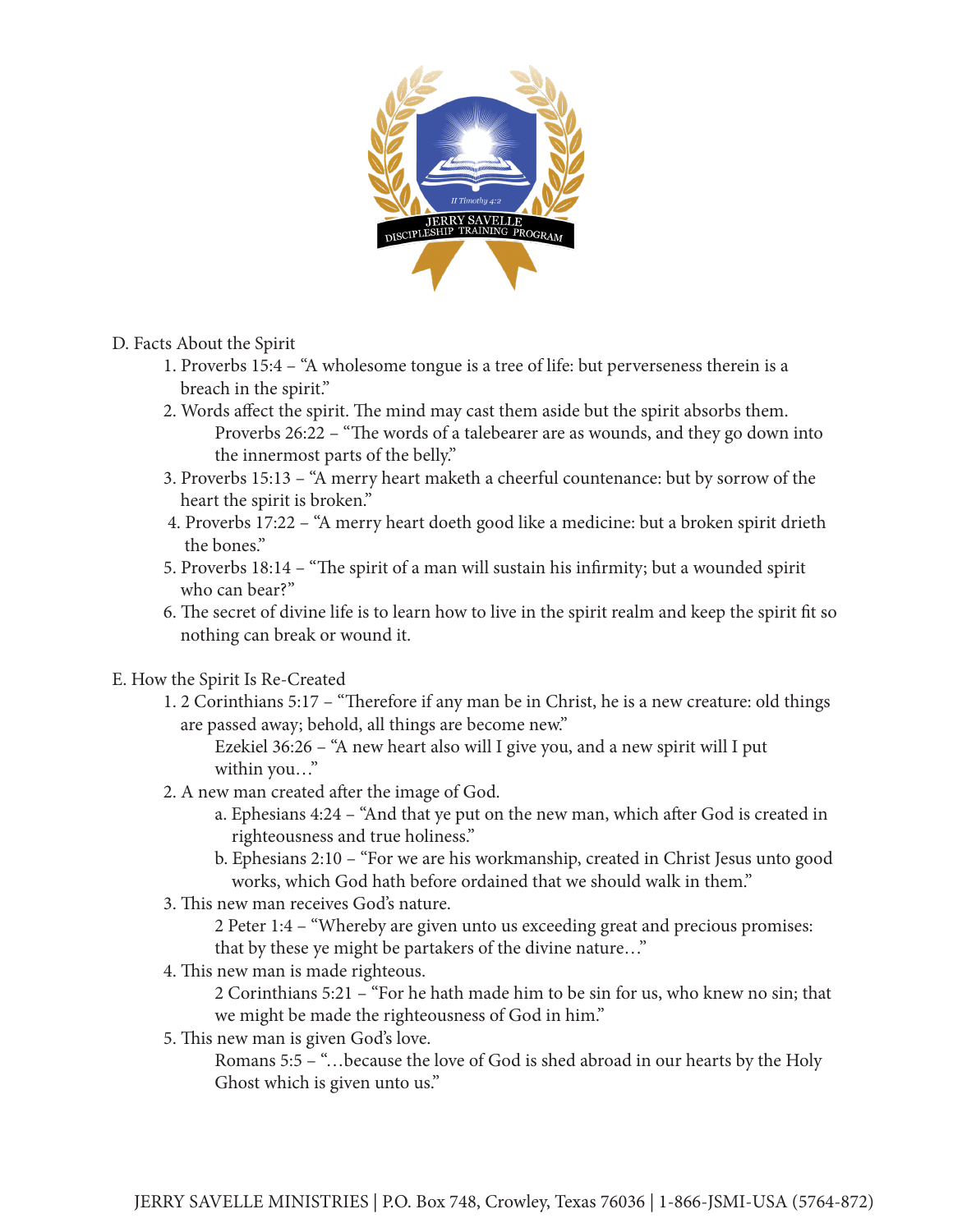

- D. Facts About the Spirit
	- 1. Proverbs 15:4 "A wholesome tongue is a tree of life: but perverseness therein is a breach in the spirit."
	- 2. Words affect the spirit. The mind may cast them aside but the spirit absorbs them. Proverbs 26:22 – "The words of a talebearer are as wounds, and they go down into the innermost parts of the belly."
	- 3. Proverbs 15:13 "A merry heart maketh a cheerful countenance: but by sorrow of the heart the spirit is broken."
	- 4. Proverbs 17:22 "A merry heart doeth good like a medicine: but a broken spirit drieth the bones."
	- 5. Proverbs 18:14 "The spirit of a man will sustain his infirmity; but a wounded spirit who can bear?"
	- 6. The secret of divine life is to learn how to live in the spirit realm and keep the spirit fit so nothing can break or wound it.
- E. How the Spirit Is Re-Created
	- 1. 2 Corinthians 5:17 "Therefore if any man be in Christ, he is a new creature: old things are passed away; behold, all things are become new."

 Ezekiel 36:26 – "A new heart also will I give you, and a new spirit will I put within you…"

- 2. A new man created after the image of God.
	- a. Ephesians 4:24 "And that ye put on the new man, which after God is created in righteousness and true holiness."
	- b. Ephesians 2:10 "For we are his workmanship, created in Christ Jesus unto good works, which God hath before ordained that we should walk in them."
- 3. This new man receives God's nature.

 2 Peter 1:4 – "Whereby are given unto us exceeding great and precious promises: that by these ye might be partakers of the divine nature…"

4. This new man is made righteous.

 2 Corinthians 5:21 – "For he hath made him to be sin for us, who knew no sin; that we might be made the righteousness of God in him."

5. This new man is given God's love.

 Romans 5:5 – "…because the love of God is shed abroad in our hearts by the Holy Ghost which is given unto us."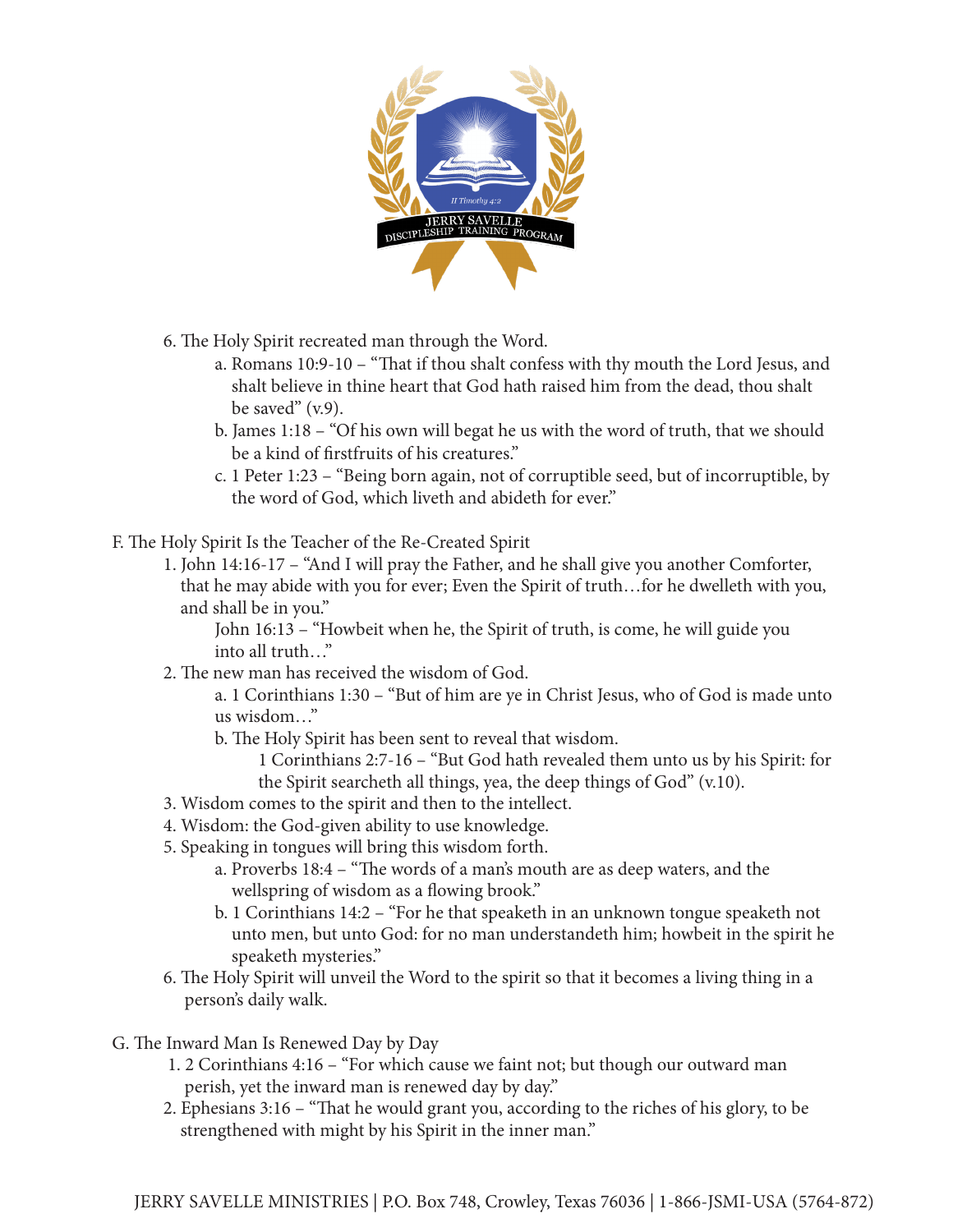

6. The Holy Spirit recreated man through the Word.

- a. Romans 10:9-10 "That if thou shalt confess with thy mouth the Lord Jesus, and shalt believe in thine heart that God hath raised him from the dead, thou shalt be saved" (v.9).
- b. James 1:18 "Of his own will begat he us with the word of truth, that we should be a kind of firstfruits of his creatures."
- c. 1 Peter 1:23 "Being born again, not of corruptible seed, but of incorruptible, by the word of God, which liveth and abideth for ever."
- F. The Holy Spirit Is the Teacher of the Re-Created Spirit
	- 1. John 14:16-17 "And I will pray the Father, and he shall give you another Comforter, that he may abide with you for ever; Even the Spirit of truth…for he dwelleth with you, and shall be in you."

 John 16:13 – "Howbeit when he, the Spirit of truth, is come, he will guide you into all truth…"

2. The new man has received the wisdom of God.

 a. 1 Corinthians 1:30 – "But of him are ye in Christ Jesus, who of God is made unto us wisdom…"

b. The Holy Spirit has been sent to reveal that wisdom.

 1 Corinthians 2:7-16 – "But God hath revealed them unto us by his Spirit: for the Spirit searcheth all things, yea, the deep things of God" (v.10).

- 3. Wisdom comes to the spirit and then to the intellect.
- 4. Wisdom: the God-given ability to use knowledge.
- 5. Speaking in tongues will bring this wisdom forth.
	- a. Proverbs 18:4 "The words of a man's mouth are as deep waters, and the wellspring of wisdom as a flowing brook."
	- b. 1 Corinthians 14:2 "For he that speaketh in an unknown tongue speaketh not unto men, but unto God: for no man understandeth him; howbeit in the spirit he speaketh mysteries."
- 6. The Holy Spirit will unveil the Word to the spirit so that it becomes a living thing in a person's daily walk.
- G. The Inward Man Is Renewed Day by Day
	- 1. 2 Corinthians 4:16 "For which cause we faint not; but though our outward man perish, yet the inward man is renewed day by day."
	- 2. Ephesians 3:16 "That he would grant you, according to the riches of his glory, to be strengthened with might by his Spirit in the inner man."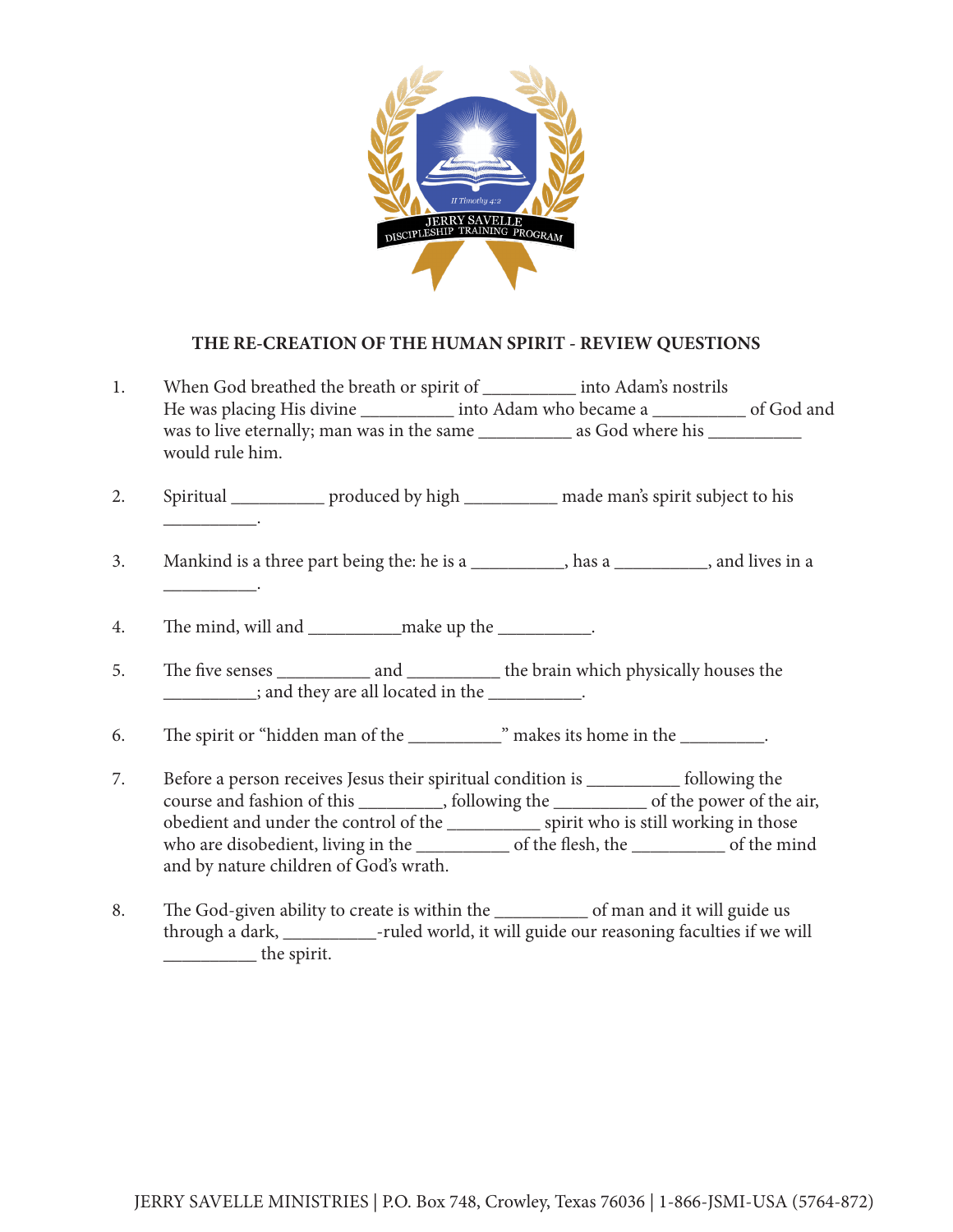

## **THE RE-CREATION OF THE HUMAN SPIRIT - REVIEW QUESTIONS**

| 1. |                                   |                                                                 | When God breathed the breath or spirit of _________ into Adam's nostrils<br>He was placing His divine ____________ into Adam who became a ____________ of God and |  |
|----|-----------------------------------|-----------------------------------------------------------------|-------------------------------------------------------------------------------------------------------------------------------------------------------------------|--|
|    | would rule him.                   |                                                                 |                                                                                                                                                                   |  |
| 2. | the control of the control of the |                                                                 | Spiritual ______________ produced by high _____________ made man's spirit subject to his                                                                          |  |
| 3. |                                   |                                                                 | Mankind is a three part being the: he is a ___________, has a _________, and lives in a                                                                           |  |
| 4. |                                   |                                                                 |                                                                                                                                                                   |  |
| 5. |                                   | $\frac{1}{2}$ ; and they are all located in the $\frac{1}{2}$ . |                                                                                                                                                                   |  |
| 6. |                                   |                                                                 |                                                                                                                                                                   |  |

- 7. Before a person receives Jesus their spiritual condition is \_\_\_\_\_\_\_\_\_\_ following the course and fashion of this \_\_\_\_\_\_\_\_\_, following the \_\_\_\_\_\_\_\_\_\_ of the power of the air, obedient and under the control of the \_\_\_\_\_\_\_\_\_\_ spirit who is still working in those who are disobedient, living in the \_\_\_\_\_\_\_\_\_\_ of the flesh, the \_\_\_\_\_\_\_\_\_\_ of the mind and by nature children of God's wrath.
- 8. The God-given ability to create is within the \_\_\_\_\_\_\_\_\_\_\_\_\_ of man and it will guide us through a dark, \_\_\_\_\_\_\_\_\_\_-ruled world, it will guide our reasoning faculties if we will \_\_\_\_\_\_\_\_\_\_ the spirit.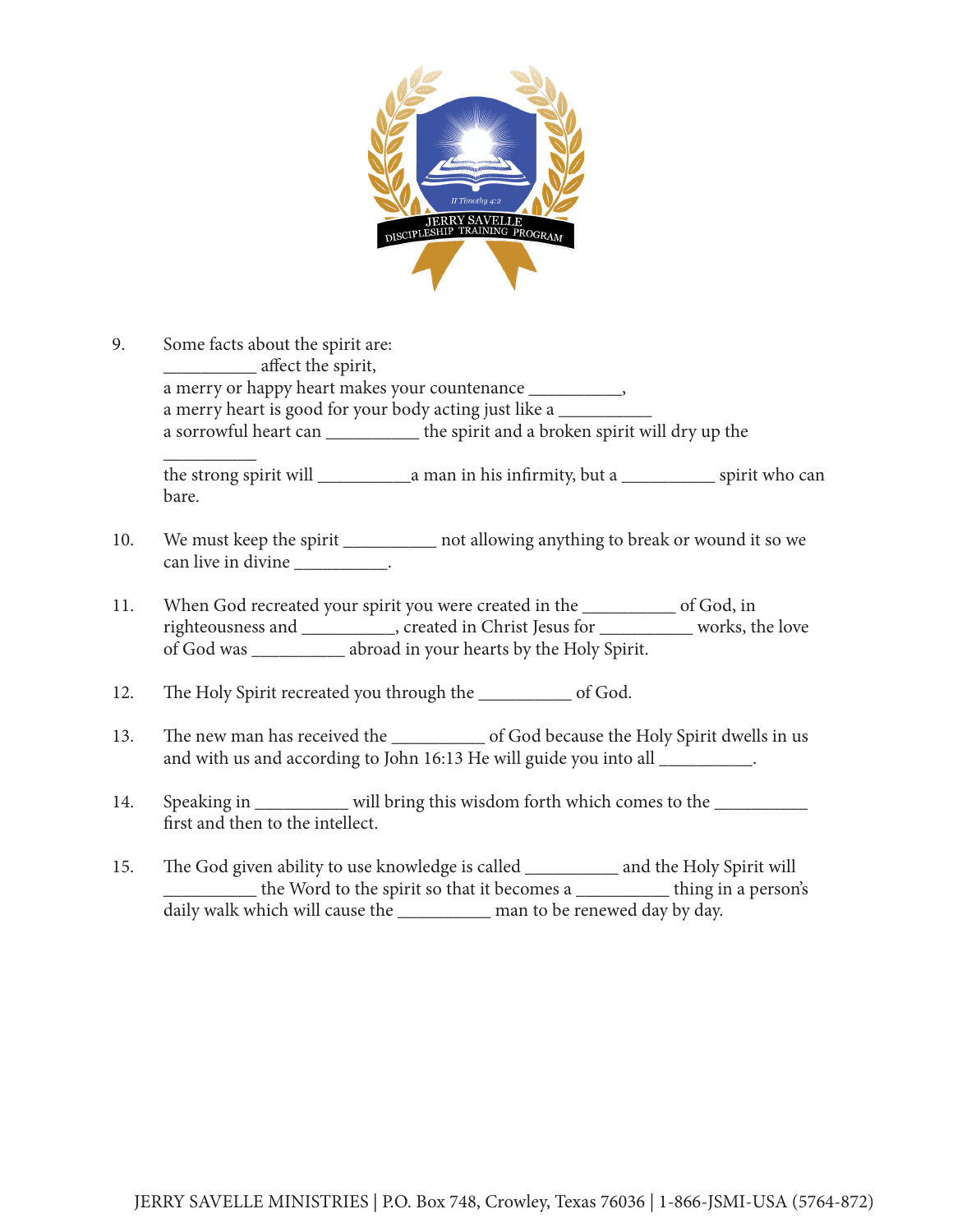

9. Some facts about the spirit are: \_\_\_\_\_\_\_\_\_\_ affect the spirit, a merry or happy heart makes your countenance \_\_\_\_\_\_\_\_\_, a merry heart is good for your body acting just like a a sorrowful heart can \_\_\_\_\_\_\_\_\_\_ the spirit and a broken spirit will dry up the  $\overline{\phantom{a}}$  , where  $\overline{\phantom{a}}$ 

the strong spirit will \_\_\_\_\_\_\_\_\_\_a man in his infirmity, but a \_\_\_\_\_\_\_\_\_\_ spirit who can bare.

- 10. We must keep the spirit \_\_\_\_\_\_\_\_\_\_\_\_ not allowing anything to break or wound it so we can live in divine \_\_\_\_\_\_\_\_\_\_\_.
- 11. When God recreated your spirit you were created in the \_\_\_\_\_\_\_\_\_\_ of God, in righteousness and \_\_\_\_\_\_\_\_\_\_, created in Christ Jesus for \_\_\_\_\_\_\_\_\_\_ works, the love of God was \_\_\_\_\_\_\_\_\_\_ abroad in your hearts by the Holy Spirit.
- 12. The Holy Spirit recreated you through the \_\_\_\_\_\_\_\_\_\_ of God.
- 13. The new man has received the \_\_\_\_\_\_\_\_\_\_ of God because the Holy Spirit dwells in us and with us and according to John 16:13 He will guide you into all \_\_\_\_\_\_\_\_\_.
- 14. Speaking in \_\_\_\_\_\_\_\_\_ will bring this wisdom forth which comes to the \_\_\_\_\_\_\_ first and then to the intellect.
- 15. The God given ability to use knowledge is called \_\_\_\_\_\_\_\_\_\_ and the Holy Spirit will \_\_\_\_\_\_\_\_\_\_ the Word to the spirit so that it becomes a \_\_\_\_\_\_\_\_\_\_ thing in a person's daily walk which will cause the \_\_\_\_\_\_\_\_\_\_ man to be renewed day by day.